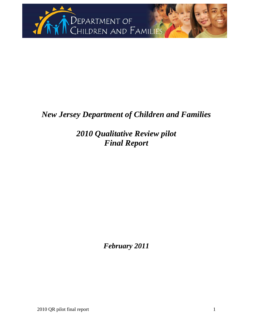

# *New Jersey Department of Children and Families*

*2010 Qualitative Review pilot Final Report* 

*February 2011*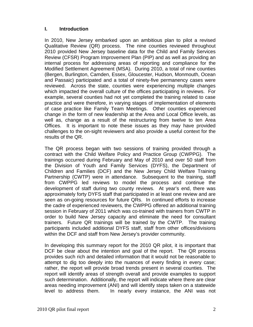#### **I. Introduction**

In 2010, New Jersey embarked upon an ambitious plan to pilot a revised Qualitative Review (QR) process. The nine counties reviewed throughout 2010 provided New Jersey baseline data for the Child and Family Services Review (CFSR) Program Improvement Plan (PIP) and as well as providing an internal process for addressing areas of reporting and compliance for the Modified Settlement Agreement (MSA). During 2010, a total of nine counties (Bergen, Burlington, Camden, Essex, Gloucester, Hudson, Monmouth, Ocean and Passaic) participated and a total of ninety-five permanency cases were reviewed. Across the state, counties were experiencing multiple changes which impacted the overall culture of the offices participating in reviews. For example, several counties had not yet completed the training related to case practice and were therefore, in varying stages of implementation of elements of case practice like Family Team Meetings. Other counties experienced change in the form of new leadership at the Area and Local Office levels, as well as, change as a result of the restructuring from twelve to ten Area Offices. It is important to note these issues as they may have provided challenges to the on-sight reviewers and also provide a useful context for the results of the QR.

The QR process began with two sessions of training provided through a contract with the Child Welfare Policy and Practice Group (CWPPG). The trainings occurred during February and May of 2010 and over 50 staff from the Division of Youth and Family Services (DYFS), the Department of Children and Families (DCF) and the New Jersey Child Welfare Training Partnership (CWTP) were in attendance. Subsequent to the training, staff from CWPPG led reviews to model the process and continue the development of staff during two county reviews. At year's end, there was approximately forty DYFS staff that participated in at least one review and are seen as on-going resources for future QRs. In continued efforts to increase the cadre of experienced reviewers, the CWPPG offered an additional training session in February of 2011 which was co-trained with trainers from CWTP in order to build New Jersey capacity and eliminate the need for consultant trainers. Future QR trainings will be trained by the CWTP. The training participants included additional DYFS staff, staff from other offices/divisions within the DCF and staff from New Jersey's provider community.

In developing this summary report for the 2010 QR pilot, it is important that DCF be clear about the intention and goal of the report. The QR process provides such rich and detailed information that it would not be reasonable to attempt to dig too deeply into the nuances of every finding in every case; rather, the report will provide broad trends present in several counties. The report will identify areas of strength overall and provide examples to support such determination. Additionally, the report will indicate where there are clear areas needing improvement (ANI) and will identify steps taken on a statewide level to address them. In nearly every instance, the ANI was not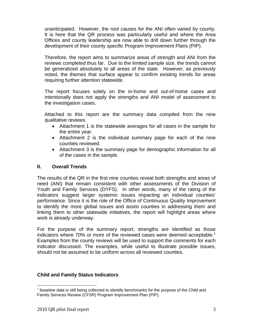unanticipated. However, the root causes for the ANI often varied by county. It is here that the QR process was particularly useful and where the Area Offices and county leadership are now able to drill down further through the development of their county specific Program Improvement Plans (PIP).

Therefore, the report aims to summarize areas of strength and ANI from the reviews completed thus far. Due to the limited sample size, the trends cannot be generalized absolutely to all areas of the state. However, as previously noted, the themes that surface appear to confirm existing trends for areas requiring further attention statewide.

The report focuses solely on the in-home and out-of-home cases and intentionally does not apply the strengths and ANI model of assessment to the investigation cases.

Attached to this report are the summary data compiled from the nine qualitative reviews.

- Attachment 1 is the statewide averages for all cases in the sample for the entire year.
- Attachment 2 is the individual summary page for each of the nine counties reviewed.
- Attachment 3 is the summary page for demographic information for all of the cases in the sample.

#### **II. Overall Trends**

The results of the QR in the first nine counties reveal both strengths and areas of need (ANI) that remain consistent with other assessments of the Division of Youth and Family Services (DYFS). In other words, many of the rating of the indicators suggest larger systemic issues impacting an individual counties' performance. Since it is the role of the Office of Continuous Quality Improvement to identify the more global issues and assist counties in addressing them and linking them to other statewide initiatives, the report will highlight areas where work is already underway.

For the purpose of the summary report, strengths are identified as those indicators where 70% or more of the reviewed cases were deemed acceptable.<sup>1</sup> Examples from the county reviews will be used to support the comments for each indicator discussed. The examples, while useful to illustrate possible issues, should not be assumed to be uniform across all reviewed counties.

#### **Child and Family Status Indicators**

<sup>1</sup>  $1$  Baseline data is still being collected to identify benchmarks for the purpose of the Child and Family Services Review (CFSR) Program Improvement Plan (PIP).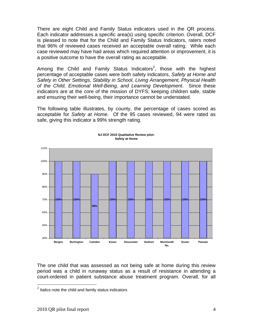There are eight Child and Family Status indicators used in the QR process. Each indicator addresses a specific area(s) using specific criterion. Overall, DCF is pleased to note that for the Child and Family Status Indicators, raters noted that 96% of reviewed cases received an acceptable overall rating. While each case reviewed may have had areas which required attention or improvement, it is a positive outcome to have the overall rating as acceptable.

Among the Child and Family Status Indicators<sup>2</sup>, those with the highest percentage of acceptable cases were both safety indicators, *Safety at Home and Safety in Other Settings, Stability in School, Living Arrangement, Physical Health of the Child, Emotional Well-Being, and Learning Development*. Since these indicators are at the core of the mission of DYFS; keeping children safe, stable and ensuring their well-being, their importance cannot be understated.

The following table illustrates, by county, the percentage of cases scored as acceptable for *Safety at Home.* Of the 95 cases reviewed, 94 were rated as safe, giving this indicator a 99% strength rating.



#### **NJ DCF 2010 Qualitative Review pilot: Safety at Home**

The one child that was assessed as not being safe at home during this review period was a child in runaway status as a result of resistance in attending a court-ordered in patient substance abuse treatment program. Overall, for all

 $\overline{a}$ 

 $2$  Italics note the child and family status indicators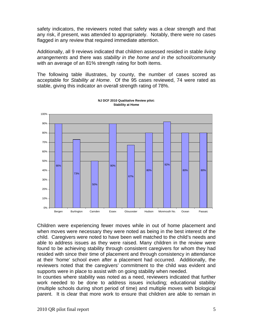safety indicators, the reviewers noted that safety was a clear strength and that any risk, if present, was attended to appropriately. Notably, there were no cases flagged in any review that required immediate attention.

Additionally, all 9 reviews indicated that children assessed resided in stable *living arrangements* and there was *stability in the home and in the school/community* with an average of an 81% strength rating for both items.

The following table illustrates, by county, the number of cases scored as acceptable for *Stability at Home*. Of the 95 cases reviewed, 74 were rated as stable, giving this indicator an overall strength rating of 78%.



**NJ DCF 2010 Qualitative Review pilot: Stability at Home**

Children were experiencing fewer moves while in out of home placement and when moves were necessary they were noted as being in the best interest of the child. Caregivers were noted to have been well matched to the child's needs and able to address issues as they were raised. Many children in the review were found to be achieving stability through consistent caregivers for whom they had resided with since their time of placement and through consistency in attendance at their 'home' school even after a placement had occurred. Additionally, the reviewers noted that the caregivers' commitment to the child was evident and supports were in place to assist with on going stability when needed.

In counties where stability was noted as a need, reviewers indicated that further work needed to be done to address issues including; educational stability (multiple schools during short period of time) and multiple moves with biological parent. It is clear that more work to ensure that children are able to remain in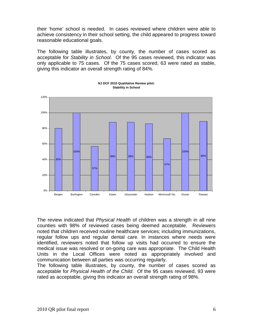their 'home' school is needed. In cases reviewed where children were able to achieve consistency in their school setting, the child appeared to progress toward reasonable educational goals.

The following table illustrates, by county, the number of cases scored as acceptable for *Stability in School*. Of the 95 cases reviewed, this indicator was only applicable to 75 cases. Of the 75 cases scored, 63 were rated as stable, giving this indicator an overall strength rating of 84%.



**NJ DCF 2010 Qualitative Review pilot: Stability in School**

The review indicated that *Physical Health* of children was a strength in all nine counties with 98% of reviewed cases being deemed acceptable. Reviewers noted that children received routine healthcare services; including immunizations, regular follow ups and regular dental care. In instances where needs were identified, reviewers noted that follow up visits had occurred to ensure the medical issue was resolved or on-going care was appropriate. The Child Health Units in the Local Offices were noted as appropriately involved and communication between all parties was occurring regularly.

The following table illustrates, by county, the number of cases scored as acceptable for *Physical Health of the Child*. Of the 95 cases reviewed, 93 were rated as acceptable, giving this indicator an overall strength rating of 98%.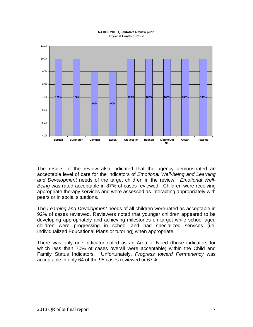#### **NJ DCF 2010 Qualitative Review pilot: Physical Health of Child**



The results of the review also indicated that the agency demonstrated an acceptable level of care for the indicators of *Emotional Well-being and Learning and Development* needs of the target children in the review. *Emotional Well-Being* was rated acceptable in 87% of cases reviewed. Children were receiving appropriate therapy services and were assessed as interacting appropriately with peers or in social situations.

The *Learning and Development* needs of all children were rated as acceptable in 92% of cases reviewed. Reviewers noted that younger children appeared to be developing appropriately and achieving milestones on target while school aged children were progressing in school and had specialized services (i.e. Individualized Educational Plans or tutoring) when appropriate.

There was only one indicator noted as an Area of Need (those indicators for which less than 70% of cases overall were acceptable) within the Child and Family Status Indicators. Unfortunately, *Progress toward Permanency* was acceptable in only 64 of the 95 cases reviewed or 67%.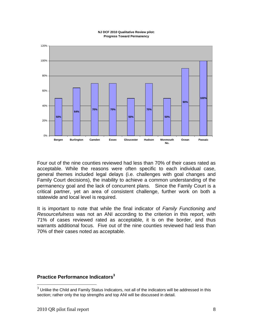#### **NJ DCF 2010 Qualitative Review pilot: Progress Toward Permanency**



Four out of the nine counties reviewed had less than 70% of their cases rated as acceptable. While the reasons were often specific to each individual case, general themes included legal delays (i.e. challenges with goal changes and Family Court decisions), the inability to achieve a common understanding of the permanency goal and the lack of concurrent plans. Since the Family Court is a critical partner, yet an area of consistent challenge, further work on both a statewide and local level is required.

It is important to note that while the final indicator of *Family Functioning and Resourcefulness* was not an ANI according to the criterion in this report, with 71% of cases reviewed rated as acceptable, it is on the border, and thus warrants additional focus. Five out of the nine counties reviewed had less than 70% of their cases noted as acceptable.

#### **Practice Performance Indicators<sup>3</sup>**

 $\overline{a}$ 

 $3$  Unlike the Child and Family Status Indicators, not all of the indicators will be addressed in this section; rather only the top strengths and top ANI will be discussed in detail.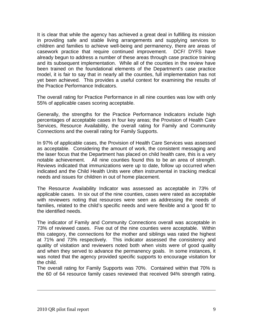It is clear that while the agency has achieved a great deal in fulfilling its mission in providing safe and stable living arrangements and supplying services to children and families to achieve well-being and permanency, there are areas of casework practice that require continued improvement. DCF/ DYFS have already begun to address a number of these areas through case practice training and its subsequent implementation. While all of the counties in the review have been trained on the foundational elements of the Department's case practice model, it is fair to say that in nearly all the counties, full implementation has not yet been achieved. This provides a useful context for examining the results of the Practice Performance Indicators.

The overall rating for Practice Performance in all nine counties was low with only 55% of applicable cases scoring acceptable.

Generally, the strengths for the Practice Performance Indicators include high percentages of acceptable cases in four key areas; the Provision of Health Care Services, Resource Availability, the overall rating for Family and Community Connections and the overall rating for Family Supports.

In 97% of applicable cases, the Provision of Health Care Services was assessed as acceptable. Considering the amount of work, the consistent messaging and the laser focus that the Department has placed on child health care, this is a very notable achievement. All nine counties found this to be an area of strength. Reviews indicated that immunizations were up to date, follow up occurred when indicated and the Child Health Units were often instrumental in tracking medical needs and issues for children in out of home placement.

The Resource Availability Indicator was assessed as acceptable in 73% of applicable cases. In six out of the nine counties, cases were rated as acceptable with reviewers noting that resources were seen as addressing the needs of families, related to the child's specific needs and were flexible and a 'good fit' to the identified needs.

The indicator of Family and Community Connections overall was acceptable in 73% of reviewed cases. Five out of the nine counties were acceptable. Within this category, the connections for the mother and siblings was rated the highest at 71% and 73% respectively. This indicator assessed the consistency and quality of visitation and reviewers noted both when visits were of good quality and when they served to advance the permanency goals. In some instances, it was noted that the agency provided specific supports to encourage visitation for the child.

The overall rating for Family Supports was 70%. Contained within that 70% is the 60 of 64 resource family cases reviewed that received 94% strength rating.

 $\overline{a}$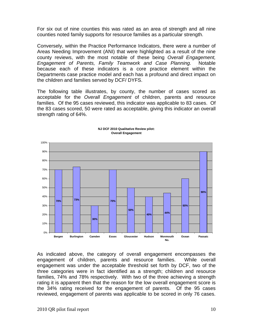For six out of nine counties this was rated as an area of strength and all nine counties noted family supports for resource families as a particular strength.

Conversely, within the Practice Performance Indicators, there were a number of Areas Needing Improvement (ANI) that were highlighted as a result of the nine county reviews, with the most notable of these being *Overall Engagement, Engagement of Parents, Family Teamwork and Case Planning.* Notable because each of these indicators is a core practice element within the Departments case practice model and each has a profound and direct impact on the children and families served by DCF/ DYFS.

The following table illustrates, by county, the number of cases scored as acceptable for the *Overall Engagement* of children, parents and resource families. Of the 95 cases reviewed, this indicator was applicable to 83 cases. Of the 83 cases scored, 50 were rated as acceptable, giving this indicator an overall strength rating of 64%.



#### **NJ DCF 2010 Qualitative Review pilot: Overall Engagement**

As indicated above, the category of overall engagement encompasses the engagement of children, parents and resource families. While overall engagement was under the acceptable threshold set forth by DCF, two of the three categories were in fact identified as a strength; children and resource families, 74% and 78% respectively. With two of the three achieving a strength rating it is apparent then that the reason for the low overall engagement score is the 34% rating received for the engagement of parents. Of the 95 cases reviewed, engagement of parents was applicable to be scored in only 76 cases.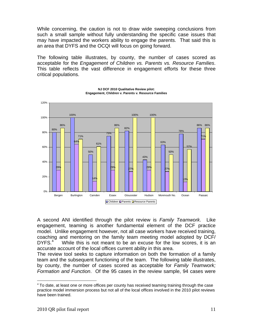While concerning, the caution is not to draw wide sweeping conclusions from such a small sample without fully understanding the specific case issues that may have impacted the workers ability to engage the parents. That said this is an area that DYFS and the OCQI will focus on going forward.

The following table illustrates, by county, the number of cases scored as acceptable for the *Engagement of Children vs. Parents vs. Resource Families*. This table reflects the vast difference in engagement efforts for these three critical populations.



**NJ DCF 2010 Qualitative Review pilot: Engagement, Children v. Parents v. Resource Families**

A second ANI identified through the pilot review is *Family Teamwork*. Like engagement, teaming is another fundamental element of the DCF practice model. Unlike engagement however, not all case workers have received training, coaching and mentoring on the family team meeting model adopted by DCF/ DYFS.<sup>4</sup> While this is not meant to be an excuse for the low scores, it is an accurate account of the local offices current ability in this area.

The review tool seeks to capture information on both the formation of a family team and the subsequent functioning of the team. The following table illustrates, by county, the number of cases scored as acceptable for *Family Teamwork; Formation and Function*. Of the 95 cases in the review sample, 94 cases were

<sup>1</sup>  $4$  To date, at least one or more offices per county has received teaming training through the case practice model immersion process but not all of the local offices involved in the 2010 pilot reviews have been trained.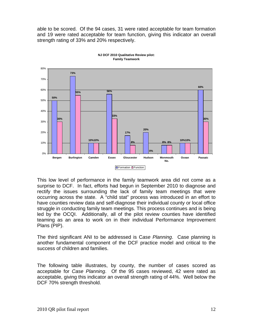able to be scored. Of the 94 cases, 31 were rated acceptable for team formation and 19 were rated acceptable for team function, giving this indicator an overall strength rating of 33% and 20% respectively.



**NJ DCF 2010 Qualitative Review pilot: Family Teamwork**

This low level of performance in the family teamwork area did not come as a surprise to DCF. In fact, efforts had begun in September 2010 to diagnose and rectify the issues surrounding the lack of family team meetings that were occurring across the state. A "child stat" process was introduced in an effort to have counties review data and self-diagnose their individual county or local office struggle in conducting family team meetings. This process continues and is being led by the OCQI. Additionally, all of the pilot review counties have identified teaming as an area to work on in their individual Performance Improvement Plans (PIP).

The third significant ANI to be addressed is C*ase Planning*. Case planning is another fundamental component of the DCF practice model and critical to the success of children and families.

The following table illustrates, by county, the number of cases scored as acceptable for *Case Planning*. Of the 95 cases reviewed, 42 were rated as acceptable, giving this indicator an overall strength rating of 44%. Well below the DCF 70% strength threshold.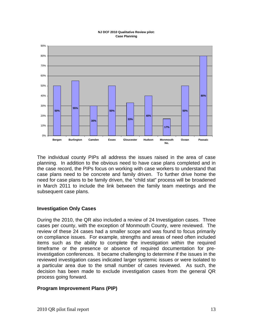#### **NJ DCF 2010 Qualitative Review pilot: Case Planning**



The individual county PIPs all address the issues raised in the area of case planning. In addition to the obvious need to have case plans completed and in the case record, the PIPs focus on working with case workers to understand that case plans need to be concrete and family driven. To further drive home the need for case plans to be family driven, the "child stat" process will be broadened in March 2011 to include the link between the family team meetings and the subsequent case plans.

#### **Investigation Only Cases**

During the 2010, the QR also included a review of 24 Investigation cases. Three cases per county, with the exception of Monmouth County, were reviewed. The review of these 24 cases had a smaller scope and was found to focus primarily on compliance issues. For example, strengths and areas of need often included items such as the ability to complete the investigation within the required timeframe or the presence or absence of required documentation for preinvestigation conferences. It became challenging to determine if the issues in the reviewed investigation cases indicated larger systemic issues or were isolated to a particular area due to the small number of cases reviewed. As such, the decision has been made to exclude investigation cases from the general QR process going forward.

#### **Program Improvement Plans (PIP)**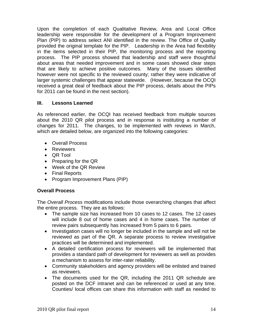Upon the completion of each Qualitative Review, Area and Local Office leadership were responsible for the development of a Program Improvement Plan (PIP) to address select ANI identified in the review. The Office of Quality provided the original template for the PIP. Leadership in the Area had flexibility in the items selected in their PIP, the monitoring process and the reporting process. The PIP process showed that leadership and staff were thoughtful about areas that needed improvement and in some cases showed clear steps that are likely to achieve positive outcomes. Many of the issues identified however were not specific to the reviewed county; rather they were indicative of larger systemic challenges that appear statewide. (However, because the OCQI received a great deal of feedback about the PIP process, details about the PIPs for 2011 can be found in the next section).

### **III. Lessons Learned**

As referenced earlier, the OCQI has received feedback from multiple sources about the 2010 QR pilot process and in response is instituting a number of changes for 2011. The changes, to be implemented with reviews in March, which are detailed below, are organized into the following categories:

- Overall Process
- **•** Reviewers
- QR Tool
- Preparing for the QR
- Week of the QR Review
- Final Reports
- Program Improvement Plans (PIP)

# **Overall Process**

The *Overall Process* modifications include those overarching changes that affect the entire process. They are as follows:

- The sample size has increased from 10 cases to 12 cases. The 12 cases will include 8 out of home cases and 4 in home cases. The number of review pairs subsequently has increased from 5 pairs to 6 pairs.
- Investigation cases will no longer be included in the sample and will not be reviewed as part of the QR. A separate process to review investigative practices will be determined and implemented.
- A detailed certification process for reviewers will be implemented that provides a standard path of development for reviewers as well as provides a mechanism to assess for inter-rater reliability.
- Community stakeholders and agency providers will be enlisted and trained as reviewers.
- The documents used for the QR, including the 2011 QR schedule are posted on the DCF intranet and can be referenced or used at any time. Counties/ local offices can share this information with staff as needed to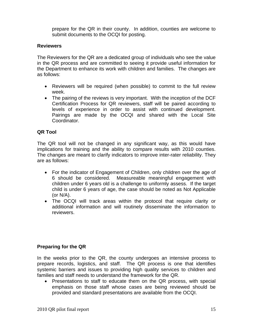prepare for the QR in their county. In addition, counties are welcome to submit documents to the OCQI for posting.

#### **Reviewers**

The Reviewers for the QR are a dedicated group of individuals who see the value in the QR process and are committed to seeing it provide useful information for the Department to enhance its work with children and families. The changes are as follows:

- Reviewers will be required (when possible) to commit to the full review week.
- The pairing of the reviews is very important. With the inception of the DCF Certification Process for QR reviewers, staff will be paired according to levels of experience in order to assist with continued development. Pairings are made by the OCQI and shared with the Local Site Coordinator.

### **QR Tool**

The QR tool will not be changed in any significant way, as this would have implications for training and the ability to compare results with 2010 counties. The changes are meant to clarify indicators to improve inter-rater reliability. They are as follows:

- For the indicator of Engagement of Children, only children over the age of 6 should be considered. Measureable meaningful engagement with children under 6 years old is a challenge to uniformly assess. If the target child is under 6 years of age, the case should be noted as Not Applicable (or N/A).
- The OCQI will track areas within the protocol that require clarity or additional information and will routinely disseminate the information to reviewers.

### **Preparing for the QR**

In the weeks prior to the QR, the county undergoes an intensive process to prepare records, logistics, and staff. The QR process is one that identifies systemic barriers and issues to providing high quality services to children and families and staff needs to understand the framework for the QR.

• Presentations to staff to educate them on the QR process, with special emphasis on those staff whose cases are being reviewed should be provided and standard presentations are available from the OCQI.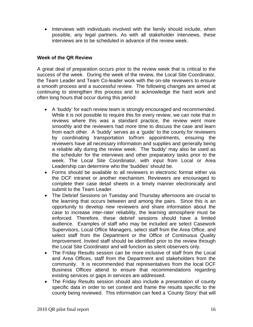• Interviews with individuals involved with the family should include, when possible, any legal partners. As with all stakeholder interviews, these interviews are to be scheduled in advance of the review week.

#### **Week of the QR Review**

A great deal of preparation occurs prior to the review week that is critical to the success of the week. During the week of the review, the Local Site Coordinator, the Team Leader and Team Co-leader work with the on-site reviewers to ensure a smooth process and a successful review. The following changes are aimed at continuing to strengthen this process and to acknowledge the hard work and often long hours that occur during this period:

- A 'buddy' for each review team is strongly encouraged and recommended. While it is not possible to require this for every review, we can note that in reviews where this was a standard practice, the review went more smoothly and the reviewers had more time to discuss the case and learn from each other. A 'buddy' serves as a 'guide' to the county for reviewers by coordinating transportation to/from appointments, ensuring the reviewers have all necessary information and supplies and generally being a reliable ally during the review week. The 'buddy' may also be used as the scheduler for the interviews and other preparatory tasks prior to the week. The Local Site Coordinator, with input from Local or Area Leadership can determine who the 'buddies' should be.
- Forms should be available to all reviewers in electronic format either via the DCF intranet or another mechanism. Reviewers are encouraged to complete their case detail sheets in a timely manner electronically and submit to the Team Leader.
- The Debrief Sessions on Tuesday and Thursday afternoons are crucial to the learning that occurs between and among the pairs. Since this is an opportunity to develop new reviewers and share information about the case to increase inter-rater reliability, the learning atmosphere must be enforced. Therefore, these debrief sessions should have a limited audience. Examples of staff who may be included are select Casework Supervisors, Local Office Managers, select staff from the Area Office, and select staff from the Department or the Office of Continuous Quality Improvement. Invited staff should be identified prior to the review through the Local Site Coordinator and will function as silent observers only.
- The Friday Results session can be more inclusive of staff from the Local and Area Offices, staff from the Department and stakeholders from the community. It is recommended that representatives from the local DCF Business Offices attend to ensure that recommendations regarding existing services or gaps in services are addressed.
- The Friday Results session should also include a presentation of county specific data in order to set context and frame the results specific to the county being reviewed. This information can feed a 'County Story' that will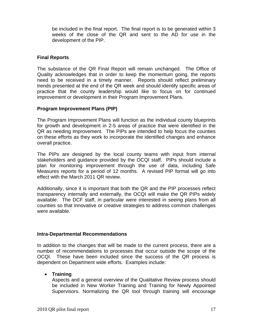be included in the final report. The final report is to be generated within 3 weeks of the close of the QR and sent to the AD for use in the development of the PIP.

#### **Final Reports**

The substance of the QR Final Report will remain unchanged. The Office of Quality acknowledges that in order to keep the momentum going, the reports need to be received in a timely manner. Reports should reflect preliminary trends presented at the end of the QR week and should identify specific areas of practice that the county leadership would like to focus on for continued improvement or development in their Program Improvement Plans.

### **Program Improvement Plans (PIP)**

The Program Improvement Plans will function as the individual county blueprints for growth and development in 2-5 areas of practice that were identified in the QR as needing improvement. The PIPs are intended to help focus the counties on these efforts as they work to incorporate the identified changes and enhance overall practice.

The PIPs are designed by the local county teams with input from internal stakeholders and guidance provided by the OCQI staff. PIPs should include a plan for monitoring improvement through the use of data, including Safe Measures reports for a period of 12 months. A revised PIP format will go into effect with the March 2011 QR review.

Additionally, since it is important that both the QR and the PIP processes reflect transparency internally and externally, the OCQI will make the QR PIPs widely available. The DCF staff, in particular were interested in seeing plans from all counties so that innovative or creative strategies to address common challenges were available.

### **Intra-Departmental Recommendations**

In addition to the changes that will be made to the current process, there are a number of recommendations to processes that occur outside the scope of the OCQI. These have been included since the success of the QR process is dependent on Department wide efforts. Examples include:

### **Training**

Aspects and a general overview of the Qualitative Review process should be included in New Worker Training and Training for Newly Appointed Supervisors. Normalizing the QR tool through training will encourage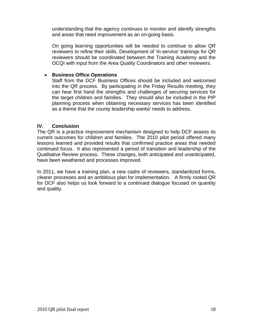understanding that the agency continues to monitor and identify strengths and areas that need improvement as an on-going basis.

On going learning opportunities will be needed to continue to allow QR reviewers to refine their skills. Development of 'in-service' trainings for QR reviewers should be coordinated between the Training Academy and the OCQI with input from the Area Quality Coordinators and other reviewers.

#### **Business Office Operations**

Staff from the DCF Business Offices should be included and welcomed into the QR process. By participating in the Friday Results meeting, they can hear first hand the strengths and challenges of securing services for the target children and families. They should also be included in the PIP planning process when obtaining necessary services has been identified as a theme that the county leadership wants/ needs to address.

#### **IV. Conclusion**

The QR is a practice improvement mechanism designed to help DCF assess its current outcomes for children and families. The 2010 pilot period offered many lessons learned and provided results that confirmed practice areas that needed continued focus. It also represented a period of transition and leadership of the Qualitative Review process. These changes, both anticipated and unanticipated, have been weathered and processes improved.

In 2011, we have a training plan, a new cadre of reviewers, standardized forms, clearer processes and an ambitious plan for implementation. A firmly rooted QR for DCF also helps us look forward to a continued dialogue focused on quantity and quality.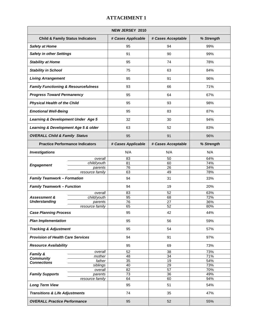| <b>NEW JERSEY 2010</b>                          |                                             |                       |                       |            |
|-------------------------------------------------|---------------------------------------------|-----------------------|-----------------------|------------|
|                                                 | <b>Child &amp; Family Status Indicators</b> | # Cases Applicable    | # Cases Acceptable    | % Strength |
| <b>Safety at Home</b>                           |                                             | 95                    | 94                    | 99%        |
| <b>Safety in other Settings</b>                 |                                             | 91                    | 90                    | 99%        |
| <b>Stability at Home</b>                        |                                             | 95                    | 74                    | 78%        |
| <b>Stability in School</b>                      |                                             | 75                    | 63                    | 84%        |
| <b>Living Arrangement</b>                       |                                             | 95                    | 91                    | 96%        |
| <b>Family Functioning &amp; Resourcefulness</b> |                                             | 93                    | 66                    | 71%        |
| <b>Progress Toward Permanency</b>               |                                             | 95                    | 64                    | 67%        |
| <b>Physical Health of the Child</b>             |                                             | 95                    | 93                    | 98%        |
| <b>Emotional Well-Being</b>                     |                                             | 95                    | 83                    | 87%        |
| Learning & Development Under Age 5              |                                             | 32                    | 30                    | 94%        |
| Learning & Development Age 5 & older            |                                             | 63                    | 52                    | 83%        |
| <b>OVERALL Child &amp; Family Status</b>        |                                             | 95                    | 91                    | 96%        |
|                                                 |                                             | # Cases Applicable    | # Cases Acceptable    | % Strength |
| <b>Practice Performance Indicators</b>          |                                             |                       |                       |            |
| <b>Investigations</b>                           |                                             | N/A                   | N/A                   | N/A        |
|                                                 | overall<br>child/youth                      | 83                    | 50                    | 64%        |
| <b>Engagement</b>                               |                                             | 81<br>$\overline{76}$ | 60<br>$\overline{26}$ | 74%<br>34% |
|                                                 | parents                                     | 63                    |                       | 78%        |
| <b>Family Teamwork - Formation</b>              | resource family                             | 94                    | 49<br>31              | 33%        |
| <b>Family Teamwork - Function</b>               |                                             | 94                    | 19                    | 20%        |
|                                                 |                                             |                       |                       |            |
|                                                 | overall                                     | 83                    | 52                    | 63%        |
| <b>Assessment &amp;</b>                         | child/youth                                 | 95                    | 68                    | 72%        |
| <b>Understanding</b>                            | parents                                     | 76                    | 27                    | 36%        |
|                                                 | resource family                             | 65                    | 52                    | 80%        |
| <b>Case Planning Process</b>                    |                                             | 95                    | 42                    | 44%        |
| <b>Plan Implementation</b>                      |                                             | 95                    | 56                    | 59%        |
| <b>Tracking &amp; Adjustment</b>                |                                             | 95                    | 54                    | 57%        |
| <b>Provision of Health Care Services</b>        |                                             | 94                    | 91                    | 97%        |
| <b>Resource Availability</b>                    |                                             | 95                    | 69                    | 73%        |
|                                                 | overall                                     | 52                    | 38                    | 73%        |
| Family &<br><b>Community</b>                    | mother                                      | 48                    | 34                    | 71%        |
| <b>Connections</b>                              | father                                      | 35                    | 19                    | 54%        |
|                                                 | siblings                                    | 40                    | 29                    | 73%        |
|                                                 | overall                                     | $\overline{82}$       | $\overline{57}$       | 70%        |
| <b>Family Supports</b><br>parents               |                                             | 73                    | 36                    | 49%        |
|                                                 | resource family                             | 64                    | 60                    | 94%        |
| <b>Long Term View</b>                           |                                             | 95                    | 51                    | 54%        |
| <b>Transitions &amp; Life Adjustments</b>       |                                             | 74                    | 35                    | 47%        |
| <b>OVERALL Practice Performance</b>             |                                             | 95                    | 52                    | 55%        |

## **ATTACHMENT 1**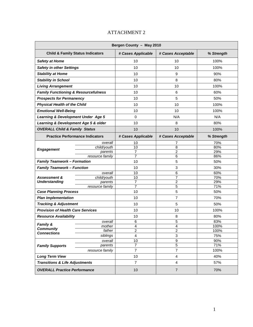#### **Bergen County – May 2010 Child & Family Status Indicators # Cases Applicable # Cases Acceptable % Strength Safety at Home** 10 10 100 100 100 100% **Safety in other Settings 10** 10 10 100% **100% Stability at Home**  10 10 9 90% **Stability in School 2008 10** 8 80% **10** 8 80% **Living Arrangement** 10 10 10 10 100% **Family Functioning & Resourcefulness**  $\begin{vmatrix} 1 & 10 & 10 \\ 1 & 10 & 6 \end{vmatrix}$  60% **Prospects for Permanency 10** 10 10 5 50% **Physical Health of the Child**  10 100% 100% 100% **Emotional Well-Being**   $\begin{array}{ccc} 1 & 10 & 10 \\ 1 & 10 & 100\% \end{array}$ **Learning & Development Under Age 5**  0 1 N/A N/A N/A N/A **Learning & Development Age 5 & older** 10 8 80% **OVERALL Child & Family Status 10** 10 10 10 100% **Practice Performance Indicators | # Cases Applicable | # Cases Acceptable | % Strength** overall 10 10 7 7 7 70%  $\text{child/youth}$  10  $\qquad$  8  $\qquad$  80% **Engagement** <del>called yournament</del> *Parents* **Parents** *Parents Parents Parents Parents Parents Parents Parents Parents Parents Parents Parents Parents Parents Parents* resource family 7 6 86% **Family Teamwork – Formation 10** 10 5 50% **Family Teamwork – Function 10** 10 3 30% overall 10 10 6 60% child/youth 10 10 7 7 70% parents | 7 | 2 | 29% **Assessment & Understanding**  resource family  $\begin{array}{ccc} 7 & 1 & 5 \end{array}$  71% **Case Planning Process** 10 5 50% **Plan Implementation 10** 10 10 7 7 70% **Tracking & Adjustment** 10 5 50% **Provision of Health Care Services**  $\vert$  10 10 100% 100% **Resource Availability**  $\begin{array}{ccc} | & 10 & | & 8 & | & 80\% \end{array}$ overall 6 6 5 83% mother 4 100% father 2 2 2 100% **Family & Community Connections connections siblings 4** 3 75% overall 10 10 9 9 90% **Family Supports** parents 7 5 71% resource family  $\begin{array}{ccc} 7 & 7 & 7 & 100\% \end{array}$ **Long Term View**  10 4 40% **Transitions & Life Adjustments** 7 4 57% **OVERALL Practice Performance** 10 7 70%

#### ATTACHMENT 2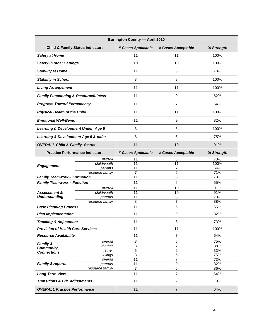| <b>Burlington County - April 2010</b>           |                                             |                                   |                     |            |
|-------------------------------------------------|---------------------------------------------|-----------------------------------|---------------------|------------|
|                                                 | <b>Child &amp; Family Status Indicators</b> | # Cases Applicable                | # Cases Acceptable  | % Strength |
| <b>Safety at Home</b>                           |                                             | 11                                | 11                  | 100%       |
| <b>Safety in other Settings</b>                 |                                             | 10                                | 10                  | 100%       |
| <b>Stability at Home</b>                        |                                             | 11                                | 8                   | 73%        |
| <b>Stability in School</b>                      |                                             | 8                                 | 8                   | 100%       |
| <b>Living Arrangement</b>                       |                                             | 11                                | 11                  | 100%       |
| <b>Family Functioning &amp; Resourcefulness</b> |                                             | 11                                | 9                   | 82%        |
| <b>Progress Toward Permanency</b>               |                                             | 11                                | $\overline{7}$      | 64%        |
| <b>Physical Health of the Child</b>             |                                             | 11                                | 11                  | 100%       |
| <b>Emotional Well-Being</b>                     |                                             | 11                                | 9                   | 82%        |
| <b>Learning &amp; Development Under Age 5</b>   |                                             | 3                                 | 3                   | 100%       |
| Learning & Development Age 5 & older            |                                             | 8                                 | 6                   | 75%        |
| <b>OVERALL Child &amp; Family Status</b>        |                                             | 11                                | 10                  | 91%        |
| <b>Practice Performance Indicators</b>          |                                             | # Cases Applicable                | # Cases Acceptable  | % Strength |
| <b>Engagement</b>                               | overall                                     | 11                                | 8                   | 73%        |
|                                                 | child/youth                                 | 11                                | 11                  | 100%       |
|                                                 | parents                                     | 11                                | $\overline{7}$      | 64%        |
|                                                 | resource family                             | 7                                 | 5                   | 71%        |
| <b>Family Teamwork - Formation</b>              |                                             | 11                                | 8                   | 73%        |
| <b>Family Teamwork - Function</b>               |                                             | 11                                | 6                   | 55%        |
|                                                 | overall                                     | 11                                | 10                  | 91%        |
| <b>Assessment &amp;</b>                         | child/youth                                 | 11                                | 10                  | 91%        |
| <b>Understanding</b>                            | parents                                     | 11                                | 8                   | 73%        |
|                                                 | resource family                             | 8                                 | $\overline{7}$      | 88%        |
| <b>Case Planning Process</b>                    |                                             | 11                                | 6                   | 55%        |
| <b>Plan Implementation</b>                      |                                             | 11                                | 9                   | 82%        |
| <b>Tracking &amp; Adjustment</b>                |                                             | 11                                | 8                   | 73%        |
| <b>Provision of Health Care Services</b>        |                                             | 11                                | 11                  | 100%       |
| <b>Resource Availability</b>                    |                                             | 11                                | $\overline{7}$      | 64%        |
| Family &                                        | overall                                     | 8                                 | 6                   | 75%        |
| <b>Community</b>                                | mother                                      | 8<br>$\overline{6}$               | 7<br>$\overline{2}$ | 88%        |
| <b>Connections</b>                              | father                                      |                                   |                     | 33%        |
|                                                 | siblings                                    | $\overline{8}$<br>$\overline{11}$ | 6<br>$\overline{8}$ | 75%<br>73% |
| <b>Family Supports</b>                          | overall                                     | 11                                | 9                   | 82%        |
|                                                 | parents<br>resource family                  | $\overline{7}$                    | $6\overline{6}$     | 86%        |
|                                                 |                                             |                                   |                     |            |
| <b>Long Term View</b>                           |                                             | 11                                | $\overline{7}$      | 64%        |
| <b>Transitions &amp; Life Adjustments</b>       |                                             | 11                                | $\overline{2}$      | 18%        |
| <b>OVERALL Practice Performance</b>             |                                             | 11                                | $\overline{7}$      | 64%        |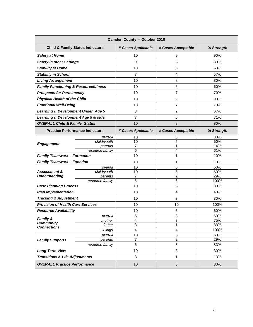| Camden County - October 2010                    |                            |                     |                           |            |
|-------------------------------------------------|----------------------------|---------------------|---------------------------|------------|
| <b>Child &amp; Family Status Indicators</b>     |                            | # Cases Applicable  | # Cases Acceptable        | % Strength |
| <b>Safety at Home</b>                           |                            | 10                  | 9                         | 90%        |
| <b>Safety in other Settings</b>                 |                            | 9                   | 8                         | 89%        |
| <b>Stability at Home</b>                        |                            | 10                  | 5                         | 50%        |
| <b>Stability in School</b>                      |                            | $\overline{7}$      | 4                         | 57%        |
| <b>Living Arrangement</b>                       |                            | 10                  | 8                         | 80%        |
| <b>Family Functioning &amp; Resourcefulness</b> |                            | 10                  | 6                         | 60%        |
| <b>Prospects for Permanency</b>                 |                            | 10                  | 7                         | 70%        |
| <b>Physical Health of the Child</b>             |                            | 10                  | 9                         | 90%        |
| <b>Emotional Well-Being</b>                     |                            | 10                  | $\overline{7}$            | 70%        |
| <b>Learning &amp; Development Under Age 5</b>   |                            | 3                   | $\overline{c}$            | 67%        |
| Learning & Development Age 5 & older            |                            | 7                   | 5                         | 71%        |
| <b>OVERALL Child &amp; Family Status</b>        |                            | 10                  | 8                         | 80%        |
| <b>Practice Performance Indicators</b>          |                            | # Cases Applicable  | # Cases Acceptable        | % Strength |
|                                                 | overall                    | 10                  | 3                         | 30%        |
| <b>Engagement</b>                               | child/youth                | $\overline{10}$     | 5                         | 50%        |
|                                                 | parents<br>resource family | $\overline{7}$<br>6 | 1<br>$\overline{4}$       | 14%<br>61% |
| <b>Family Teamwork - Formation</b>              |                            | 10                  | 1                         | 10%        |
| <b>Family Teamwork - Function</b>               |                            | 10                  | 1                         | 10%        |
|                                                 | overall                    | 10                  | 5                         | 50%        |
| <b>Assessment &amp;</b>                         | child/youth                | 10                  | 6                         | 60%        |
| <b>Understanding</b>                            | parents                    | 7                   | $\overline{2}$            | 29%        |
|                                                 | resource family            | 6                   | 6                         | 100%       |
| <b>Case Planning Process</b>                    |                            | 10                  | 3                         | 30%        |
| <b>Plan Implementation</b>                      |                            | 10                  | 4                         | 40%        |
| <b>Tracking &amp; Adjustment</b>                |                            | 10                  | 3                         | 30%        |
| <b>Provision of Health Care Services</b>        |                            | 10                  | 10                        | 100%       |
| <b>Resource Availability</b>                    |                            | 10                  | 6                         | 60%        |
| <b>Family &amp;</b>                             | overall                    | 5                   | 3                         | 60%        |
| <b>Community</b>                                | mother                     | 4                   | 3                         | 75%        |
| <b>Connections</b>                              | father                     | 3                   | 1                         | 33%        |
|                                                 | siblings                   | 4                   | 4                         | 100%       |
| <b>Family Supports</b>                          | overall<br>parents         | 10<br>7             | $\mathbf 5$<br>2          | 50%<br>29% |
|                                                 | resource family            | 6                   | 5                         | 83%        |
| <b>Long Term View</b>                           |                            | 10                  | $\mathbf 3$               | 30%        |
| <b>Transitions &amp; Life Adjustments</b>       |                            | 8                   | 1                         | 13%        |
| <b>OVERALL Practice Performance</b>             |                            | 10                  | $\ensuremath{\mathsf{3}}$ | 30%        |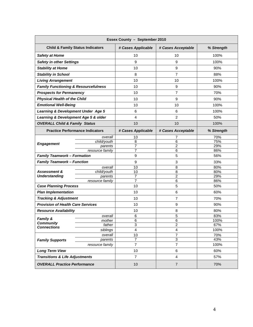| Essex County - September 2010                   |                                             |                    |                     |             |
|-------------------------------------------------|---------------------------------------------|--------------------|---------------------|-------------|
|                                                 | <b>Child &amp; Family Status Indicators</b> | # Cases Applicable | # Cases Acceptable  | % Strength  |
| <b>Safety at Home</b>                           |                                             | 10                 | 10                  | 100%        |
| <b>Safety in other Settings</b>                 |                                             | 9                  | 9                   | 100%        |
| <b>Stability at Home</b>                        |                                             | 10                 | 9                   | 90%         |
| <b>Stability in School</b>                      |                                             | 8                  | $\overline{7}$      | 88%         |
| <b>Living Arrangement</b>                       |                                             | 10                 | 10                  | 100%        |
| <b>Family Functioning &amp; Resourcefulness</b> |                                             | 10                 | 9                   | 90%         |
| <b>Prospects for Permanency</b>                 |                                             | 10                 | $\overline{7}$      | 70%         |
| <b>Physical Health of the Child</b>             |                                             | 10                 | 9                   | 90%         |
| <b>Emotional Well-Being</b>                     |                                             | 10                 | 10                  | 100%        |
| <b>Learning &amp; Development Under Age 5</b>   |                                             | 6                  | 6                   | 100%        |
| Learning & Development Age 5 & older            |                                             | 4                  | 2                   | 50%         |
| <b>OVERALL Child &amp; Family Status</b>        |                                             | 10                 | 10                  | 100%        |
|                                                 | <b>Practice Performance Indicators</b>      | # Cases Applicable | # Cases Acceptable  | % Strength  |
|                                                 | overall                                     | 10                 | 7                   | 70%         |
| <b>Engagement</b>                               | child/youth                                 | 8                  | 6                   | 75%         |
|                                                 | parents<br>resource family                  | 7<br>7             | $\overline{c}$<br>6 | 29%<br>86%  |
| <b>Family Teamwork - Formation</b>              |                                             | 9                  | 5                   | 56%         |
| <b>Family Teamwork - Function</b>               |                                             | 9                  | 3                   | 33%         |
|                                                 | overall                                     | 10                 | 8                   | 80%         |
| <b>Assessment &amp;</b>                         | child/youth                                 | 10                 | $\overline{8}$      | 80%         |
| <b>Understanding</b>                            | parents                                     | 7                  | $\overline{2}$      | 29%         |
|                                                 | resource family                             | $\overline{7}$     | 6                   | 86%         |
| <b>Case Planning Process</b>                    |                                             | 10                 | 5                   | 50%         |
| <b>Plan Implementation</b>                      |                                             | 10                 | 6                   | 60%         |
| <b>Tracking &amp; Adjustment</b>                |                                             | 10                 | $\overline{7}$      | 70%         |
| <b>Provision of Health Care Services</b>        |                                             | 10                 | 9                   | 90%         |
| <b>Resource Availability</b>                    |                                             | 10                 | 8                   | 80%         |
| <b>Family &amp;</b>                             | overall                                     | 6                  | 5                   | 83%         |
| <b>Community</b>                                | mother                                      | 6<br>3             | 6<br>$\overline{2}$ | 100%<br>67% |
| <b>Connections</b>                              | father<br>siblings                          | 4                  | 4                   | 100%        |
|                                                 | overall                                     | 10                 | 7                   | 70%         |
| <b>Family Supports</b>                          | parents                                     | 7                  | 3                   | 43%         |
|                                                 | resource family                             | $\overline{7}$     | $\overline{7}$      | 100%        |
| <b>Long Term View</b>                           |                                             | 10                 | 6                   | 60%         |
| <b>Transitions &amp; Life Adjustments</b>       |                                             | $\overline{7}$     | 4                   | 57%         |
| <b>OVERALL Practice Performance</b>             |                                             | 10                 | $\overline{7}$      | 70%         |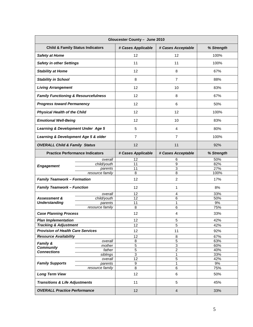| Gloucester County - June 2010                   |                                             |                    |                    |            |
|-------------------------------------------------|---------------------------------------------|--------------------|--------------------|------------|
|                                                 | <b>Child &amp; Family Status Indicators</b> | # Cases Applicable | # Cases Acceptable | % Strength |
| <b>Safety at Home</b>                           |                                             | 12                 | 12                 | 100%       |
| <b>Safety in other Settings</b>                 |                                             | 11                 | 11                 | 100%       |
| <b>Stability at Home</b>                        |                                             | 12                 | 8                  | 67%        |
| <b>Stability in School</b>                      |                                             | 8                  | $\overline{7}$     | 88%        |
| <b>Living Arrangement</b>                       |                                             | 12                 | 10                 | 83%        |
| <b>Family Functioning &amp; Resourcefulness</b> |                                             | 12                 | 8                  | 67%        |
| <b>Progress toward Permanency</b>               |                                             | 12                 | 6                  | 50%        |
| <b>Physical Health of the Child</b>             |                                             | 12                 | 12                 | 100%       |
| <b>Emotional Well-Being</b>                     |                                             | 12                 | 10                 | 83%        |
| Learning & Development Under Age 5              |                                             | 5                  | $\overline{4}$     | 80%        |
| Learning & Development Age 5 & older            |                                             | $\overline{7}$     | $\overline{7}$     | 100%       |
| <b>OVERALL Child &amp; Family Status</b>        |                                             | 12                 | 11                 | 92%        |
| <b>Practice Performance Indicators</b>          |                                             | # Cases Applicable | # Cases Acceptable | % Strength |
|                                                 | overall                                     | 12                 | 6                  | 50%        |
| <b>Engagement</b>                               | child/youth                                 | 11                 | 9                  | 82%        |
|                                                 | parents                                     | $\overline{11}$    | 3                  | 27%        |
|                                                 | resource family                             | 8                  | 8                  | 100%       |
| <b>Family Teamwork - Formation</b>              |                                             | 12                 | $\overline{c}$     | 17%        |
| <b>Family Teamwork - Function</b>               |                                             | 12                 | 1                  | 8%         |
|                                                 | overall                                     | 12                 | $\overline{4}$     | 33%        |
| <b>Assessment &amp;</b>                         | child/youth                                 | $\overline{12}$    | 6                  | 50%        |
| <b>Understanding</b>                            | parents                                     | 11                 | 1                  | 9%         |
|                                                 | resource family                             | 8                  | 6                  | 75%        |
| <b>Case Planning Process</b>                    |                                             | 12                 | 4                  | 33%        |
| <b>Plan Implementation</b>                      |                                             | 12                 | 5                  | 42%        |
| <b>Tracking &amp; Adjustment</b>                |                                             | 12                 | 5                  | 42%        |
| <b>Provision of Health Care Services</b>        |                                             | 12                 | 11                 | 92%        |
| <b>Resource Availability</b>                    |                                             | 12                 | 8                  | 67%        |
| Family &                                        | overall                                     | $\bf8$             | $\overline{5}$     | 63%        |
| <b>Community</b>                                | mother                                      | $\overline{5}$     | $\overline{3}$     | 60%        |
| <b>Connections</b>                              | father                                      | $\overline{5}$     | $\overline{2}$     | 40%        |
|                                                 | siblings                                    | 3                  | 1                  | 33%        |
|                                                 | overall                                     | 12                 | 5                  | 42%        |
| <b>Family Supports</b>                          | parents                                     | 9                  | 1                  | 9%         |
|                                                 | resource family                             | $\overline{8}$     | $\overline{6}$     | 75%        |
| <b>Long Term View</b>                           |                                             | 12                 | $\,6$              | 50%        |
| <b>Transitions &amp; Life Adjustments</b>       |                                             | 11                 | 5                  | 45%        |
| <b>OVERALL Practice Performance</b>             |                                             | 12                 | $\overline{4}$     | 33%        |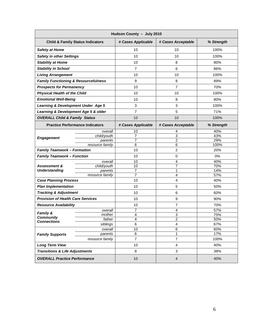| Hudson County - July 2010                       |                                        |                     |                     |             |
|-------------------------------------------------|----------------------------------------|---------------------|---------------------|-------------|
| <b>Child &amp; Family Status Indicators</b>     |                                        | # Cases Applicable  | # Cases Acceptable  | % Strength  |
| <b>Safety at Home</b>                           |                                        | 10                  | 10                  | 100%        |
| <b>Safety in other Settings</b>                 |                                        | 10                  | 10                  | 100%        |
| <b>Stability at Home</b>                        |                                        | 10                  | 8                   | 80%         |
| <b>Stability in School</b>                      |                                        | $\overline{7}$      | 6                   | 86%         |
| <b>Living Arrangement</b>                       |                                        | 10                  | 10                  | 100%        |
| <b>Family Functioning &amp; Resourcefulness</b> |                                        | 9                   | 8                   | 89%         |
| <b>Prospects for Permanency</b>                 |                                        | 10                  | 7                   | 70%         |
| <b>Physical Health of the Child</b>             |                                        | 10                  | 10                  | 100%        |
| <b>Emotional Well-Being</b>                     |                                        | 10                  | 8                   | 80%         |
| <b>Learning &amp; Development Under Age 5</b>   |                                        | 3                   | 3                   | 100%        |
| Learning & Development Age 5 & older            |                                        | 7                   | 5                   | 71%         |
| <b>OVERALL Child &amp; Family Status</b>        |                                        | 10                  | 10                  | 100%        |
|                                                 | <b>Practice Performance Indicators</b> | # Cases Applicable  | # Cases Acceptable  | % Strength  |
|                                                 | overall                                | 10                  | 4                   | 40%         |
| <b>Engagement</b>                               | child/youth                            | 7                   | 3                   | 43%         |
|                                                 | parents<br>resource family             | $\overline{7}$<br>6 | $\overline{2}$<br>6 | 29%<br>100% |
| <b>Family Teamwork - Formation</b>              |                                        | 10                  | $\overline{c}$      | 20%         |
| <b>Family Teamwork - Function</b>               |                                        | 10                  | 0                   | 0%          |
|                                                 | overall                                | 10                  | 4                   | 40%         |
| <b>Assessment &amp;</b>                         | child/youth                            | 10                  | 7                   | 70%         |
| <b>Understanding</b>                            | parents                                | 7                   | 1                   | 14%         |
|                                                 | resource family                        | $\overline{7}$      | 4                   | 57%         |
| <b>Case Planning Process</b>                    |                                        | 10                  | 4                   | 40%         |
| <b>Plan Implementation</b>                      |                                        | 10                  | 5                   | 50%         |
| <b>Tracking &amp; Adjustment</b>                |                                        | 10                  | 6                   | 60%         |
| <b>Provision of Health Care Services</b>        |                                        | 10                  | 9                   | 90%         |
| <b>Resource Availability</b>                    |                                        | 10                  | 7                   | 70%         |
| <b>Family &amp;</b>                             | overall                                | 7                   | 4                   | 57%         |
| <b>Community</b>                                | mother                                 | 4                   | 3                   | 75%         |
| <b>Connections</b>                              | father                                 | 4<br>6              | $\overline{2}$<br>4 | 50%<br>67%  |
|                                                 | siblings<br>overall                    | 10                  | 6                   | 60%         |
| <b>Family Supports</b>                          | parents                                | 6                   | 1                   | 17%         |
|                                                 | resource family                        | $\overline{7}$      | $\overline{7}$      | 100%        |
| <b>Long Term View</b>                           |                                        | 10                  | 4                   | 40%         |
| <b>Transitions &amp; Life Adjustments</b>       |                                        | 8                   | 3                   | 38%         |
| <b>OVERALL Practice Performance</b>             |                                        | 10                  | $\overline{4}$      | 40%         |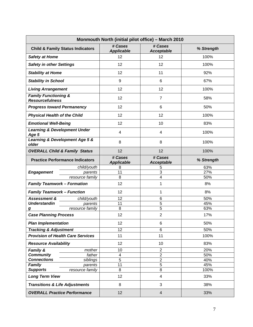| Monmouth North (initial pilot office) - March 2010        |                                             |                              |                                           |            |
|-----------------------------------------------------------|---------------------------------------------|------------------------------|-------------------------------------------|------------|
|                                                           | <b>Child &amp; Family Status Indicators</b> | # Cases<br><b>Applicable</b> | # Cases<br><b>Acceptable</b>              | % Strength |
| <b>Safety at Home</b>                                     |                                             | 12                           | 12                                        | 100%       |
| <b>Safety in other Settings</b>                           |                                             | 12                           | 12                                        | 100%       |
| <b>Stability at Home</b>                                  |                                             | 12                           | 11                                        | 92%        |
| <b>Stability in School</b>                                |                                             | 9                            | 6                                         | 67%        |
| <b>Living Arrangement</b>                                 |                                             | 12                           | 12                                        | 100%       |
| <b>Family Functioning &amp;</b><br><b>Resourcefulness</b> |                                             | 12                           | $\overline{7}$                            | 58%        |
| <b>Progress toward Permanency</b>                         |                                             | 12                           | 6                                         | 50%        |
| <b>Physical Health of the Child</b>                       |                                             | 12                           | 12                                        | 100%       |
| <b>Emotional Well-Being</b>                               |                                             | 12                           | 10                                        | 83%        |
| <b>Learning &amp; Development Under</b><br>Age 5          |                                             | 4                            | $\overline{4}$                            | 100%       |
| Learning & Development Age 5 &<br>older                   |                                             | 8                            | 8                                         | 100%       |
| <b>OVERALL Child &amp; Family Status</b>                  |                                             | 12                           | 12                                        | 100%       |
|                                                           | <b>Practice Performance Indicators</b>      | # Cases<br><b>Applicable</b> | # Cases<br><b>Acceptable</b>              | % Strength |
|                                                           | child/youth                                 | 8                            | 5                                         | 63%        |
| <b>Engagement</b>                                         | parents                                     | 11<br>8                      | $\overline{3}$<br>$\overline{\mathbf{4}}$ | 27%<br>50% |
| <b>Family Teamwork - Formation</b>                        | resource family                             | 12                           | 1                                         | 8%         |
| <b>Family Teamwork - Function</b>                         |                                             | 12                           | 1                                         | 8%         |
| <b>Assessment &amp;</b>                                   | child/youth                                 | $\overline{12}$              | 6                                         | 50%        |
| <b>Understandin</b>                                       | parents                                     | 11                           | 5                                         | 45%        |
| $\boldsymbol{g}$                                          | resource family                             | 8                            | $\overline{5}$                            | 63%        |
| <b>Case Planning Process</b>                              |                                             | 12                           | $\overline{2}$                            | 17%        |
| <b>Plan Implementation</b>                                |                                             | 12                           | 6                                         | 50%        |
| <b>Tracking &amp; Adjustment</b>                          |                                             | 12                           | 6                                         | 50%        |
| <b>Provision of Health Care Services</b>                  |                                             | 11                           | 11                                        | 100%       |
| <b>Resource Availability</b>                              |                                             | 12                           | 10                                        | 83%        |
| Family &                                                  | mother                                      | 10                           | $\overline{2}$                            | 20%        |
| <b>Community</b>                                          | father                                      | 4                            | $\overline{2}$                            | 50%        |
| <b>Connections</b>                                        | siblings                                    | 5                            | $\overline{2}$                            | 40%        |
| Family                                                    | parents                                     | 11                           | $\overline{5}$                            | 45%        |
| <b>Supports</b>                                           | resource family                             | 8                            | 8                                         | 100%       |
| <b>Long Term View</b>                                     |                                             | 12                           | $\overline{4}$                            | 33%        |
| <b>Transitions &amp; Life Adjustments</b>                 |                                             | 8                            | $\mathbf{3}$                              | 38%        |
| <b>OVERALL Practice Performance</b>                       |                                             | 12                           | $\overline{4}$                            | 33%        |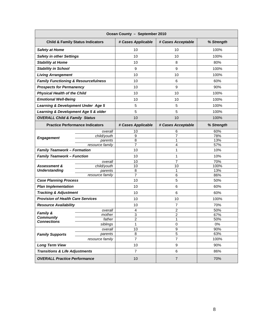| Ocean County - September 2010                   |                            |                    |                    |              |
|-------------------------------------------------|----------------------------|--------------------|--------------------|--------------|
| <b>Child &amp; Family Status Indicators</b>     |                            | # Cases Applicable | # Cases Acceptable | % Strength   |
| <b>Safety at Home</b>                           |                            | 10                 | 10                 | 100%         |
| <b>Safety in other Settings</b>                 |                            | 10                 | 10                 | 100%         |
| <b>Stability at Home</b>                        |                            | 10                 | 8                  | 80%          |
| <b>Stability in School</b>                      |                            | 9                  | 9                  | 100%         |
| <b>Living Arrangement</b>                       |                            | 10                 | 10                 | 100%         |
| <b>Family Functioning &amp; Resourcefulness</b> |                            | 10                 | 6                  | 60%          |
| <b>Prospects for Permanency</b>                 |                            | 10                 | 9                  | 90%          |
| <b>Physical Health of the Child</b>             |                            | 10                 | 10                 | 100%         |
| <b>Emotional Well-Being</b>                     |                            | 10                 | 10                 | 100%         |
| <b>Learning &amp; Development Under Age 5</b>   |                            | 5                  | 5                  | 100%         |
| Learning & Development Age 5 & older            |                            | 5                  | 5                  | 100%         |
| <b>OVERALL Child &amp; Family Status</b>        |                            | 10                 | 10                 | 100%         |
| <b>Practice Performance Indicators</b>          |                            | # Cases Applicable | # Cases Acceptable | % Strength   |
|                                                 | overall                    | 10                 | 6                  | 60%          |
| <b>Engagement</b>                               | child/youth                | 9                  | $\overline{7}$     | 78%          |
|                                                 | parents<br>resource family | 8<br>7             | 1<br>4             | 13%<br>57%   |
| <b>Family Teamwork - Formation</b>              |                            | 10                 | 1                  | 10%          |
| <b>Family Teamwork - Function</b>               |                            | 10                 | 1                  | 10%          |
|                                                 | overall                    | 10                 | 7                  | 70%          |
| <b>Assessment &amp;</b>                         | child/youth                | 10                 | 10                 | 100%         |
| <b>Understanding</b>                            | parents                    | 8                  | 1                  | 13%          |
|                                                 | resource family            | $\overline{7}$     | 6                  | 86%          |
| <b>Case Planning Process</b>                    |                            | 10                 | 5                  | 50%          |
| <b>Plan Implementation</b>                      |                            | 10                 | 6                  | 60%          |
| <b>Tracking &amp; Adjustment</b>                |                            | 10                 | 6                  | 60%          |
| <b>Provision of Health Care Services</b>        |                            | 10                 | 10                 | 100%         |
| <b>Resource Availability</b>                    |                            | 10                 | $\overline{7}$     | 70%          |
| <b>Family &amp;</b>                             | overall                    | 4                  | $\overline{c}$     | 50%          |
| <b>Community</b>                                | mother                     | 3                  | 2                  | 67%          |
| <b>Connections</b>                              | father<br>siblings         | 2<br>1             | 1<br>0             | 50%<br>$0\%$ |
|                                                 | overall                    | 10                 | 9                  | 90%          |
| <b>Family Supports</b>                          | parents                    | 8                  | 5                  | 63%          |
|                                                 | resource family            | $\overline{7}$     | $\overline{7}$     | 100%         |
| <b>Long Term View</b>                           |                            | 10                 | 9                  | 90%          |
| <b>Transitions &amp; Life Adjustments</b>       |                            | $\overline{7}$     | 6                  | 86%          |
| <b>OVERALL Practice Performance</b>             |                            | 10                 | $\overline{7}$     | 70%          |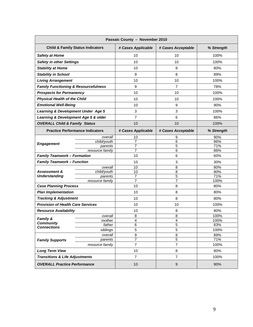| Passaic County - November 2010                  |                                             |                     |                    |            |
|-------------------------------------------------|---------------------------------------------|---------------------|--------------------|------------|
|                                                 | <b>Child &amp; Family Status Indicators</b> | # Cases Applicable  | # Cases Acceptable | % Strength |
| <b>Safety at Home</b>                           |                                             | 10                  | 10                 | 100%       |
| <b>Safety in other Settings</b>                 |                                             | 10                  | 10                 | 100%       |
| <b>Stability at Home</b>                        |                                             | 10                  | 8                  | 80%        |
| <b>Stability in School</b>                      |                                             | 9                   | 8                  | 89%        |
| <b>Living Arrangement</b>                       |                                             | 10                  | 10                 | 100%       |
| <b>Family Functioning &amp; Resourcefulness</b> |                                             | 9                   | $\overline{7}$     | 78%        |
| <b>Prospects for Permanency</b>                 |                                             | 10                  | 10                 | 100%       |
| <b>Physical Health of the Child</b>             |                                             | 10                  | 10                 | 100%       |
| <b>Emotional Well-Being</b>                     |                                             | 10                  | 9                  | 90%        |
| <b>Learning &amp; Development Under Age 5</b>   |                                             | 3                   | 3                  | 100%       |
| Learning & Development Age 5 & older            |                                             | 7                   | 6                  | 86%        |
| <b>OVERALL Child &amp; Family Status</b>        |                                             | 10                  | 10                 | 100%       |
|                                                 | <b>Practice Performance Indicators</b>      | # Cases Applicable  | # Cases Acceptable | % Strength |
|                                                 | overall                                     | 10                  | 9                  | 90%        |
| <b>Engagement</b>                               | child/youth                                 | $\overline{7}$      | $\overline{6}$     | 86%        |
|                                                 | parents<br>resource family                  | $\overline{7}$<br>7 | 5<br>6             | 71%<br>86% |
| <b>Family Teamwork - Formation</b>              |                                             | 10                  | 6                  | 60%        |
| <b>Family Teamwork - Function</b>               |                                             | 10                  | 3                  | 30%        |
|                                                 | overall                                     | 10                  | 8                  | 80%        |
| <b>Assessment &amp;</b>                         | child/youth                                 | 10                  | $\overline{8}$     | 80%        |
| <b>Understanding</b>                            | parents                                     | 7                   | $\overline{5}$     | 71%        |
|                                                 | resource family                             | $\overline{7}$      | $\overline{7}$     | 100%       |
| <b>Case Planning Process</b>                    |                                             | 10                  | 8                  | 80%        |
| <b>Plan Implementation</b>                      |                                             | 10                  | 8                  | 80%        |
| <b>Tracking &amp; Adjustment</b>                |                                             | 10                  | 8                  | 80%        |
| <b>Provision of Health Care Services</b>        |                                             | 10                  | 10                 | 100%       |
| <b>Resource Availability</b>                    |                                             | 10                  | 8                  | 80%        |
| <b>Family &amp;</b>                             | overall                                     | 8                   | 8                  | 100%       |
| <b>Community</b>                                | mother                                      | 4                   | 4                  | 100%       |
| <b>Connections</b>                              | father                                      | 6                   | $\overline{5}$     | 83%        |
|                                                 | siblings                                    | 5                   | 5                  | 100%       |
| <b>Family Supports</b>                          | overall<br>parents                          | 9<br>7              | 8<br>5             | 89%<br>71% |
|                                                 | resource family                             | $\overline{7}$      | $\overline{7}$     | 100%       |
| <b>Long Term View</b>                           |                                             | 10                  | $\bf 8$            | 80%        |
| <b>Transitions &amp; Life Adjustments</b>       |                                             | $\overline{7}$      | $\overline{7}$     | 100%       |
| <b>OVERALL Practice Performance</b>             |                                             | 10                  | $\boldsymbol{9}$   | 90%        |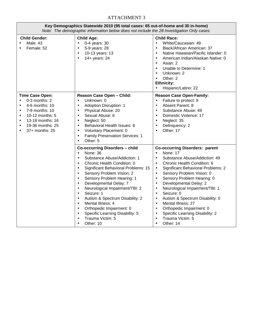### ATTACHMENT 3

|                                                               | Key Demographics Statewide 2010 (95 total cases: 65 out-of-home and 30 in-home)<br>Note: The demographic information below does not include the 28 Investigation Only cases. |                                                                                                                                                                                                                                                                                                                                                                                                                                                                                                                                                                                                                                                   |                                                                                                                                                                                                                                                                                                                                                                                                                                                                                                                                                                                                                                                          |  |  |  |
|---------------------------------------------------------------|------------------------------------------------------------------------------------------------------------------------------------------------------------------------------|---------------------------------------------------------------------------------------------------------------------------------------------------------------------------------------------------------------------------------------------------------------------------------------------------------------------------------------------------------------------------------------------------------------------------------------------------------------------------------------------------------------------------------------------------------------------------------------------------------------------------------------------------|----------------------------------------------------------------------------------------------------------------------------------------------------------------------------------------------------------------------------------------------------------------------------------------------------------------------------------------------------------------------------------------------------------------------------------------------------------------------------------------------------------------------------------------------------------------------------------------------------------------------------------------------------------|--|--|--|
|                                                               | <b>Child Gender:</b><br>Male: 43<br>Female: 52                                                                                                                               | <b>Child Age:</b><br>0-4 years: 30<br>$\bullet$<br>5-9 years: 28<br>$\bullet$<br>10-13 years: 13<br>$\bullet$<br>14+ years: 24<br>$\bullet$                                                                                                                                                                                                                                                                                                                                                                                                                                                                                                       | <b>Child Race:</b><br>White/Caucasian: 49<br>$\bullet$<br>Black/African American: 37<br>$\bullet$<br>Native Hawaiian/Pacific Islander: 0<br>$\bullet$<br>American Indian/Alaskan Native: 0<br>$\bullet$<br>Asian: 2<br>$\bullet$<br>Unable to Determine: 1<br>$\bullet$<br>Unknown: 2<br>$\bullet$<br>Other: 2<br>$\bullet$<br><b>Ethnicity:</b><br>Hispanic/Latino: 22<br>$\bullet$                                                                                                                                                                                                                                                                     |  |  |  |
| $\bullet$<br>$\bullet$<br>$\bullet$<br>$\bullet$<br>$\bullet$ | <b>Time Case Open:</b><br>0-3 months: 2<br>4-6 months: 10<br>7-9 months: 10<br>10-12 months: 5<br>13-18 months: 16<br>19-36 months: 25<br>37+ months: 25                     | Reason Case Open - Child:<br>Unknown: 0<br>$\bullet$<br><b>Adoption Disruption: 1</b><br>$\bullet$<br>Physical Abuse: 20<br>$\bullet$<br>Sexual Abuse: 6<br>$\bullet$<br>Neglect: 50<br>$\bullet$<br>Behavioral Health Issues: 8<br>$\bullet$<br>Voluntary Placement: 0<br>$\bullet$<br><b>Family Preservation Services: 1</b><br>$\bullet$<br>Other: 5<br>$\bullet$                                                                                                                                                                                                                                                                              | <b>Reason Case Open-Family:</b><br>Failure to protect: 9<br>$\bullet$<br>Absent Parent: 8<br>$\bullet$<br>Substance Abuse: 49<br>$\bullet$<br>Domestic Violence: 17<br>$\bullet$<br>Neglect: 35<br>$\bullet$<br>Delinquency: 2<br>$\bullet$<br>Other: 17<br>$\bullet$                                                                                                                                                                                                                                                                                                                                                                                    |  |  |  |
|                                                               |                                                                                                                                                                              | <b>Co-occurring Disorders - child</b><br><b>None: 36</b><br>$\bullet$<br>Substance Abuse/Addiction: 1<br>$\bullet$<br>Chronic Health Condition: 0<br>$\bullet$<br>Significant Behavioral Problems: 15<br>$\bullet$<br>Sensory Problem Vision: 2<br>$\bullet$<br>Sensory Problem Hearing: 1<br>$\bullet$<br>Developmental Delay: 7<br>$\bullet$<br>Neurological Impairment/TBI: 2<br>$\bullet$<br>Seizure: 1<br>$\bullet$<br>Autism & Spectrum Disability: 2<br>$\bullet$<br>Mental Illness: 4<br>$\bullet$<br>Orthopedic Impairment: 0<br>$\bullet$<br>Specific Learning Disability: 5<br>$\bullet$<br>Trauma Victim: 5<br>$\bullet$<br>Other: 10 | <b>Co-occurring Disorders: parent</b><br>None: 17<br>$\bullet$<br>Substance Abuse/Addiction: 49<br>$\bullet$<br>Chronic Health Condition: 6<br>$\bullet$<br>Significant Behavioral Problems: 2<br>$\bullet$<br>Sensory Problem Vision: 0<br>$\bullet$<br>Sensory Problem Hearing: 0<br>$\bullet$<br>Developmental Delay: 2<br>$\bullet$<br>Neurological Impairment/TBI: 1<br>$\bullet$<br>Seizure: 0<br>$\bullet$<br>Autism & Spectrum Disability: 0<br>$\bullet$<br>Mental Illness: 27<br>$\bullet$<br>Orthopedic Impairment: 0<br>$\bullet$<br>Specific Learning Disability: 2<br>$\bullet$<br>Trauma Victim: 5<br>$\bullet$<br>Other: 14<br>$\bullet$ |  |  |  |